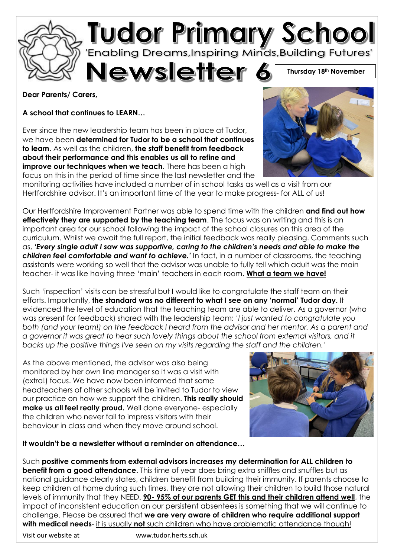

## **Dear Parents/ Carers,**

**A school that continues to LEARN…**

Ever since the new leadership team has been in place at Tudor, we have been **determined for Tudor to be a school that continues to learn**. As well as the children, **the staff benefit from feedback about their performance and this enables us all to refine and improve our techniques when we teach**. There has been a high focus on this in the period of time since the last newsletter and the



monitoring activities have included a number of in school tasks as well as a visit from our Hertfordshire advisor. It's an important time of the year to make progress- for ALL of us!

Our Hertfordshire Improvement Partner was able to spend time with the children **and find out how effectively they are supported by the teaching team**. The focus was on writing and this is an important area for our school following the impact of the school closures on this area of the curriculum. Whilst we await the full report, the initial feedback was really pleasing. Comments such as, *'Every single adult I saw was supportive, caring to the children's needs and able to make the children feel comfortable and want to achieve.'* In fact, in a number of classrooms, the teaching assistants were working so well that the advisor was unable to fully tell which adult was the main teacher- it was like having three 'main' teachers in each room. **What a team we have!**

Such 'inspection' visits can be stressful but I would like to congratulate the staff team on their efforts. Importantly, **the standard was no different to what I see on any 'normal' Tudor day.** It evidenced the level of education that the teaching team are able to deliver. As a governor (who was present for feedback) shared with the leadership team: '*I just wanted to congratulate you both (and your team!) on the feedback I heard from the advisor and her mentor. As a parent and*  a governor it was great to hear such lovely things about the school from external visitors, and it *backs up the positive things I've seen on my visits regarding the staff and the children.'*

As the above mentioned, the advisor was also being monitored by her own line manager so it was a visit with (extra!) focus. We have now been informed that some headteachers of other schools will be invited to Tudor to view our practice on how we support the children. **This really should make us all feel really proud.** Well done everyone- especially the children who never fail to impress visitors with their behaviour in class and when they move around school.



**It wouldn't be a newsletter without a reminder on attendance…**

Such **positive comments from external advisors increases my determination for ALL children to benefit from a good attendance**. This time of year does bring extra sniffles and snuffles but as national guidance clearly states, children benefit from building their immunity. If parents choose to keep children at home during such times, they are not allowing their children to build those natural levels of immunity that they NEED. **90- 95% of our parents GET this and their children attend well**, the impact of inconsistent education on our persistent absentees is something that we will continue to challenge. Please be assured that **we are very aware of children who require additional support with medical needs**- it is usually **not** such children who have problematic attendance though!

Visit our website at www.tudor.herts.sch.uk